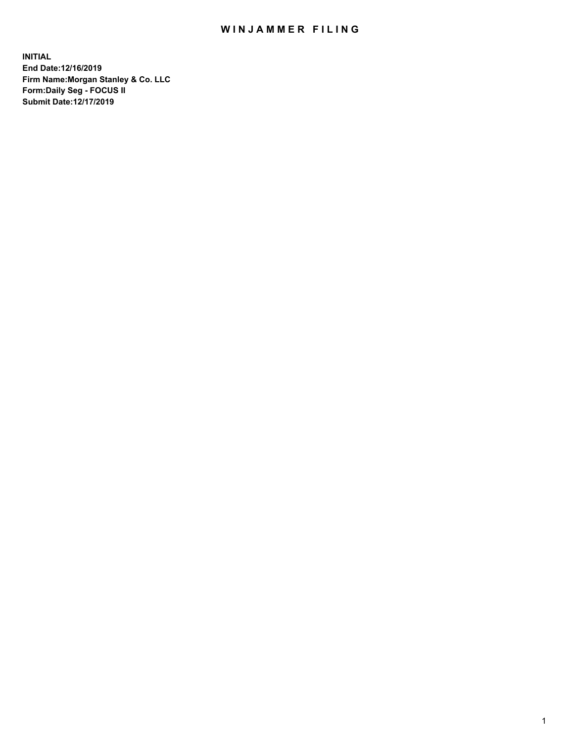## WIN JAMMER FILING

**INITIAL End Date:12/16/2019 Firm Name:Morgan Stanley & Co. LLC Form:Daily Seg - FOCUS II Submit Date:12/17/2019**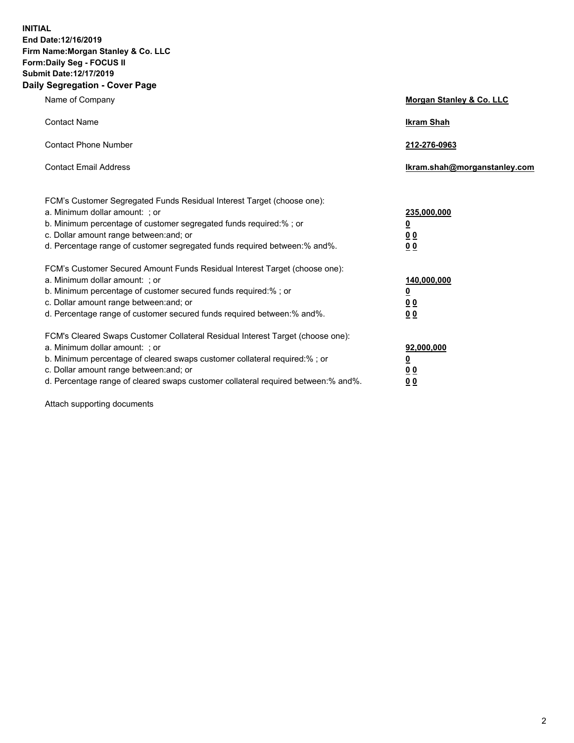**INITIAL End Date:12/16/2019 Firm Name:Morgan Stanley & Co. LLC Form:Daily Seg - FOCUS II Submit Date:12/17/2019 Daily Segregation - Cover Page**

| Name of Company                                                                                                                                                                                                                                                                                                                | Morgan Stanley & Co. LLC                               |
|--------------------------------------------------------------------------------------------------------------------------------------------------------------------------------------------------------------------------------------------------------------------------------------------------------------------------------|--------------------------------------------------------|
| <b>Contact Name</b>                                                                                                                                                                                                                                                                                                            | <b>Ikram Shah</b>                                      |
| <b>Contact Phone Number</b>                                                                                                                                                                                                                                                                                                    | 212-276-0963                                           |
| <b>Contact Email Address</b>                                                                                                                                                                                                                                                                                                   | Ikram.shah@morganstanley.com                           |
| FCM's Customer Segregated Funds Residual Interest Target (choose one):<br>a. Minimum dollar amount: ; or<br>b. Minimum percentage of customer segregated funds required:% ; or<br>c. Dollar amount range between: and; or<br>d. Percentage range of customer segregated funds required between:% and%.                         | 235,000,000<br><u>0</u><br>00<br>00                    |
| FCM's Customer Secured Amount Funds Residual Interest Target (choose one):<br>a. Minimum dollar amount: ; or<br>b. Minimum percentage of customer secured funds required:%; or<br>c. Dollar amount range between: and; or<br>d. Percentage range of customer secured funds required between: % and %.                          | 140,000,000<br><u>0</u><br><u>00</u><br>0 <sub>0</sub> |
| FCM's Cleared Swaps Customer Collateral Residual Interest Target (choose one):<br>a. Minimum dollar amount: ; or<br>b. Minimum percentage of cleared swaps customer collateral required:% ; or<br>c. Dollar amount range between: and; or<br>d. Percentage range of cleared swaps customer collateral required between:% and%. | 92,000,000<br><u>0</u><br>0 Q<br>00                    |

Attach supporting documents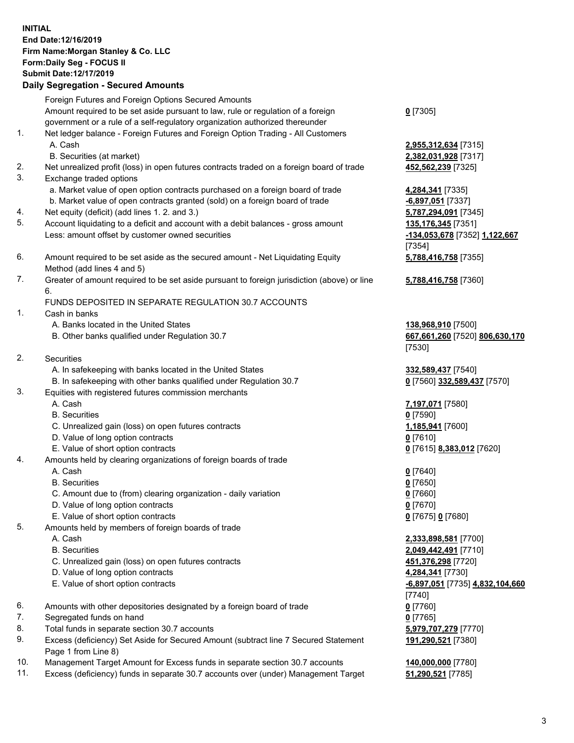## **INITIAL End Date:12/16/2019 Firm Name:Morgan Stanley & Co. LLC Form:Daily Seg - FOCUS II Submit Date:12/17/2019**

**Daily Segregation - Secured Amounts** Foreign Futures and Foreign Options Secured Amounts Amount required to be set aside pursuant to law, rule or regulation of a foreign government or a rule of a self-regulatory organization authorized thereunder 1. Net ledger balance - Foreign Futures and Foreign Option Trading - All Customers A. Cash **2,955,312,634** [7315] B. Securities (at market) **2,382,031,928** [7317] 2. Net unrealized profit (loss) in open futures contracts traded on a foreign board of trade **452,562,239** [7325] 3. Exchange traded options a. Market value of open option contracts purchased on a foreign board of trade **4,284,341** [7335] b. Market value of open contracts granted (sold) on a foreign board of trade **-6,897,051** [7337] 4. Net equity (deficit) (add lines 1. 2. and 3.) **5,787,294,091** [7345] 5. Account liquidating to a deficit and account with a debit balances - gross amount **135,176,345** [7351] Less: amount offset by customer owned securities **-134,053,678** [7352] **1,122,667** 6. Amount required to be set aside as the secured amount - Net Liquidating Equity Method (add lines 4 and 5) 7. Greater of amount required to be set aside pursuant to foreign jurisdiction (above) or line 6. FUNDS DEPOSITED IN SEPARATE REGULATION 30.7 ACCOUNTS 1. Cash in banks A. Banks located in the United States **138,968,910** [7500] B. Other banks qualified under Regulation 30.7 **667,661,260** [7520] **806,630,170** 2. Securities A. In safekeeping with banks located in the United States **332,589,437** [7540] B. In safekeeping with other banks qualified under Regulation 30.7 **0** [7560] **332,589,437** [7570] 3. Equities with registered futures commission merchants A. Cash **7,197,071** [7580] B. Securities **0** [7590] C. Unrealized gain (loss) on open futures contracts **1,185,941** [7600] D. Value of long option contracts **0** [7610] E. Value of short option contracts **0** [7615] **8,383,012** [7620] 4. Amounts held by clearing organizations of foreign boards of trade A. Cash **0** [7640] B. Securities **0** [7650] C. Amount due to (from) clearing organization - daily variation **0** [7660] D. Value of long option contracts **0** [7670] E. Value of short option contracts **0** [7675] **0** [7680] 5. Amounts held by members of foreign boards of trade A. Cash **2,333,898,581** [7700]

- 
- C. Unrealized gain (loss) on open futures contracts **451,376,298** [7720]
- D. Value of long option contracts **4,284,341** [7730]
- E. Value of short option contracts **-6,897,051** [7735] **4,832,104,660**
- 6. Amounts with other depositories designated by a foreign board of trade **0** [7760]
- 7. Segregated funds on hand **0** [7765]
- 8. Total funds in separate section 30.7 accounts **5,979,707,279** [7770]
- 9. Excess (deficiency) Set Aside for Secured Amount (subtract line 7 Secured Statement Page 1 from Line 8)
- 10. Management Target Amount for Excess funds in separate section 30.7 accounts **140,000,000** [7780]
- 11. Excess (deficiency) funds in separate 30.7 accounts over (under) Management Target **51,290,521** [7785]

**0** [7305]

[7354] **5,788,416,758** [7355]

**5,788,416,758** [7360]

[7530]

 B. Securities **2,049,442,491** [7710] [7740] **191,290,521** [7380]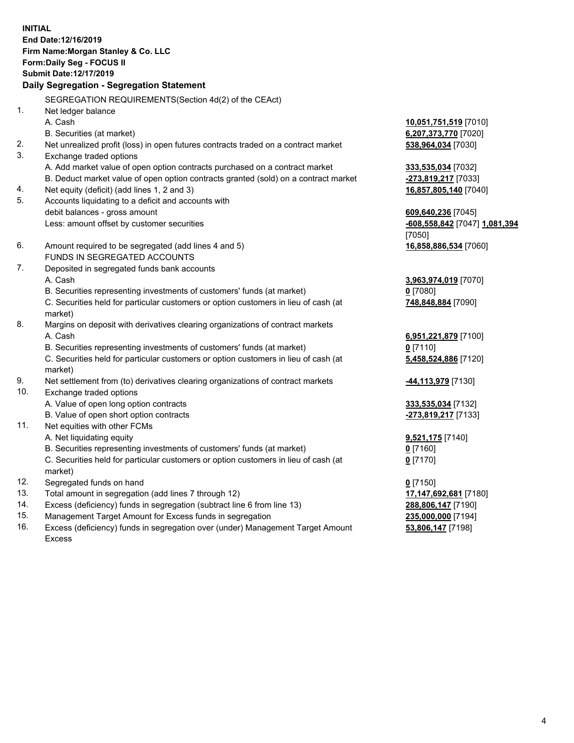**INITIAL End Date:12/16/2019 Firm Name:Morgan Stanley & Co. LLC Form:Daily Seg - FOCUS II Submit Date:12/17/2019 Daily Segregation - Segregation Statement** SEGREGATION REQUIREMENTS(Section 4d(2) of the CEAct) 1. Net ledger balance A. Cash **10,051,751,519** [7010] B. Securities (at market) **6,207,373,770** [7020] 2. Net unrealized profit (loss) in open futures contracts traded on a contract market **538,964,034** [7030] 3. Exchange traded options A. Add market value of open option contracts purchased on a contract market **333,535,034** [7032] B. Deduct market value of open option contracts granted (sold) on a contract market **-273,819,217** [7033] 4. Net equity (deficit) (add lines 1, 2 and 3) **16,857,805,140** [7040] 5. Accounts liquidating to a deficit and accounts with debit balances - gross amount **609,640,236** [7045] Less: amount offset by customer securities **-608,558,842** [7047] **1,081,394** [7050] 6. Amount required to be segregated (add lines 4 and 5) **16,858,886,534** [7060] FUNDS IN SEGREGATED ACCOUNTS 7. Deposited in segregated funds bank accounts A. Cash **3,963,974,019** [7070] B. Securities representing investments of customers' funds (at market) **0** [7080] C. Securities held for particular customers or option customers in lieu of cash (at market) **748,848,884** [7090] 8. Margins on deposit with derivatives clearing organizations of contract markets A. Cash **6,951,221,879** [7100] B. Securities representing investments of customers' funds (at market) **0** [7110] C. Securities held for particular customers or option customers in lieu of cash (at market) **5,458,524,886** [7120] 9. Net settlement from (to) derivatives clearing organizations of contract markets **-44,113,979** [7130] 10. Exchange traded options A. Value of open long option contracts **333,535,034** [7132] B. Value of open short option contracts **-273,819,217** [7133] 11. Net equities with other FCMs A. Net liquidating equity **9,521,175** [7140] B. Securities representing investments of customers' funds (at market) **0** [7160] C. Securities held for particular customers or option customers in lieu of cash (at market) **0** [7170] 12. Segregated funds on hand **0** [7150] 13. Total amount in segregation (add lines 7 through 12) **17,147,692,681** [7180] 14. Excess (deficiency) funds in segregation (subtract line 6 from line 13) **288,806,147** [7190]

- 15. Management Target Amount for Excess funds in segregation **235,000,000** [7194]
- 16. Excess (deficiency) funds in segregation over (under) Management Target Amount Excess

**53,806,147** [7198]